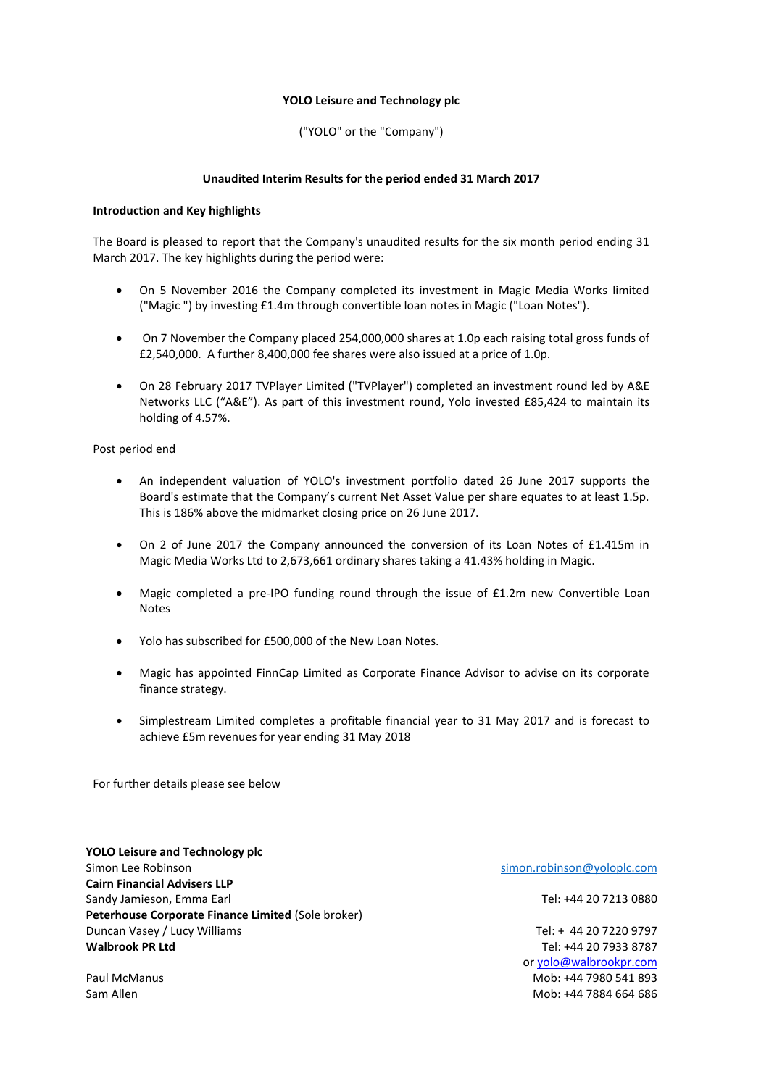### **YOLO Leisure and Technology plc**

### ("YOLO" or the "Company")

### **Unaudited Interim Results for the period ended 31 March 2017**

### **Introduction and Key highlights**

The Board is pleased to report that the Company's unaudited results for the six month period ending 31 March 2017. The key highlights during the period were:

- On 5 November 2016 the Company completed its investment in Magic Media Works limited ("Magic ") by investing £1.4m through convertible loan notes in Magic ("Loan Notes").
- On 7 November the Company placed 254,000,000 shares at 1.0p each raising total gross funds of £2,540,000. A further 8,400,000 fee shares were also issued at a price of 1.0p.
- On 28 February 2017 TVPlayer Limited ("TVPlayer") completed an investment round led by A&E Networks LLC ("A&E"). As part of this investment round, Yolo invested £85,424 to maintain its holding of 4.57%.

Post period end

- An independent valuation of YOLO's investment portfolio dated 26 June 2017 supports the Board's estimate that the Company's current Net Asset Value per share equates to at least 1.5p. This is 186% above the midmarket closing price on 26 June 2017.
- On 2 of June 2017 the Company announced the conversion of its Loan Notes of £1.415m in Magic Media Works Ltd to 2,673,661 ordinary shares taking a 41.43% holding in Magic.
- Magic completed a pre-IPO funding round through the issue of £1.2m new Convertible Loan Notes
- Yolo has subscribed for £500,000 of the New Loan Notes.
- Magic has appointed FinnCap Limited as Corporate Finance Advisor to advise on its corporate finance strategy.
- Simplestream Limited completes a profitable financial year to 31 May 2017 and is forecast to achieve £5m revenues for year ending 31 May 2018

For further details please see below

**YOLO Leisure and Technology plc** Simon Lee Robinson simon.robinson@yoloplc.com **Cairn Financial Advisers LLP** Sandy Jamieson, Emma Earl Tel: +44 20 7213 0880 **Peterhouse Corporate Finance Limited** (Sole broker) Duncan Vasey / Lucy Williams Tel: + 44 20 7220 9797 **Walbrook PR Ltd** Tel: +44 20 7933 8787

or [yolo@walbrookpr.com](mailto:yolo@walbrookpr.com) Paul McManus **Mob: +44 7980 541 893** Sam Allen Mob: +44 7884 664 686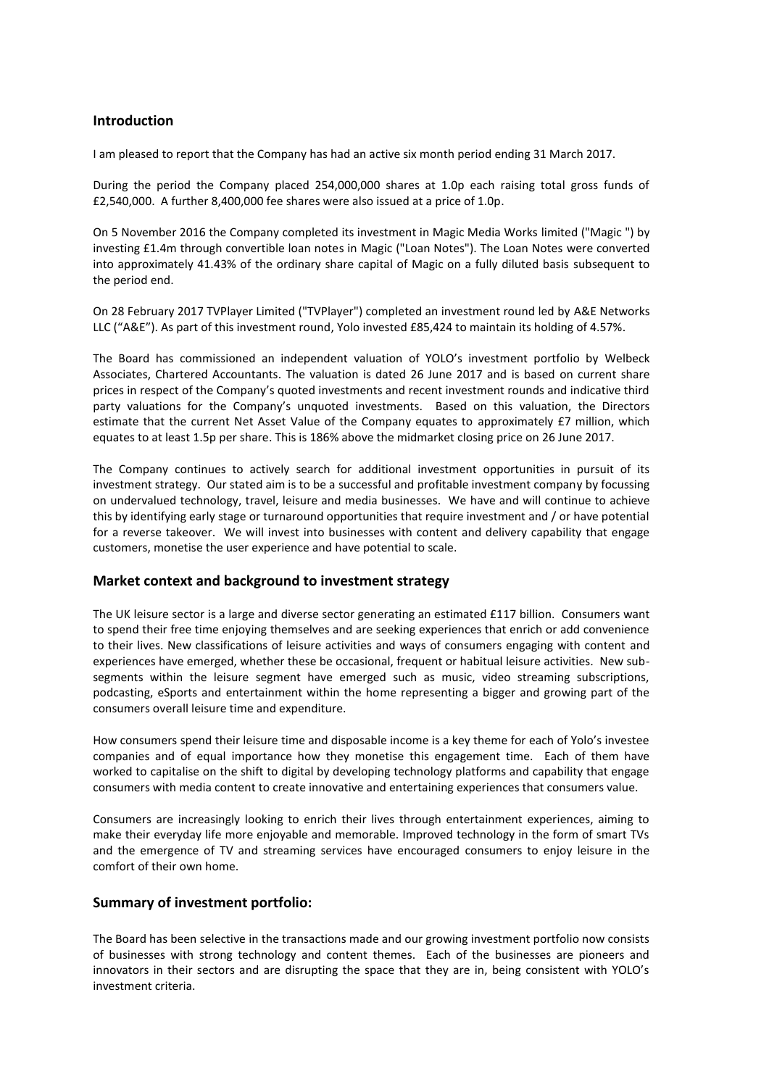# **Introduction**

I am pleased to report that the Company has had an active six month period ending 31 March 2017.

During the period the Company placed 254,000,000 shares at 1.0p each raising total gross funds of £2,540,000. A further 8,400,000 fee shares were also issued at a price of 1.0p.

On 5 November 2016 the Company completed its investment in Magic Media Works limited ("Magic ") by investing £1.4m through convertible loan notes in Magic ("Loan Notes"). The Loan Notes were converted into approximately 41.43% of the ordinary share capital of Magic on a fully diluted basis subsequent to the period end.

On 28 February 2017 TVPlayer Limited ("TVPlayer") completed an investment round led by A&E Networks LLC ("A&E"). As part of this investment round, Yolo invested £85,424 to maintain its holding of 4.57%.

The Board has commissioned an independent valuation of YOLO's investment portfolio by Welbeck Associates, Chartered Accountants. The valuation is dated 26 June 2017 and is based on current share prices in respect of the Company's quoted investments and recent investment rounds and indicative third party valuations for the Company's unquoted investments. Based on this valuation, the Directors estimate that the current Net Asset Value of the Company equates to approximately £7 million, which equates to at least 1.5p per share. This is 186% above the midmarket closing price on 26 June 2017.

The Company continues to actively search for additional investment opportunities in pursuit of its investment strategy. Our stated aim is to be a successful and profitable investment company by focussing on undervalued technology, travel, leisure and media businesses. We have and will continue to achieve this by identifying early stage or turnaround opportunities that require investment and / or have potential for a reverse takeover. We will invest into businesses with content and delivery capability that engage customers, monetise the user experience and have potential to scale.

# **Market context and background to investment strategy**

The UK leisure sector is a large and diverse sector generating an estimated £117 billion. Consumers want to spend their free time enjoying themselves and are seeking experiences that enrich or add convenience to their lives. New classifications of leisure activities and ways of consumers engaging with content and experiences have emerged, whether these be occasional, frequent or habitual leisure activities. New subsegments within the leisure segment have emerged such as music, video streaming subscriptions, podcasting, eSports and entertainment within the home representing a bigger and growing part of the consumers overall leisure time and expenditure.

How consumers spend their leisure time and disposable income is a key theme for each of Yolo's investee companies and of equal importance how they monetise this engagement time. Each of them have worked to capitalise on the shift to digital by developing technology platforms and capability that engage consumers with media content to create innovative and entertaining experiences that consumers value.

Consumers are increasingly looking to enrich their lives through entertainment experiences, aiming to make their everyday life more enjoyable and memorable. Improved technology in the form of smart TVs and the emergence of TV and streaming services have encouraged consumers to enjoy leisure in the comfort of their own home.

# **Summary of investment portfolio:**

The Board has been selective in the transactions made and our growing investment portfolio now consists of businesses with strong technology and content themes. Each of the businesses are pioneers and innovators in their sectors and are disrupting the space that they are in, being consistent with YOLO's investment criteria.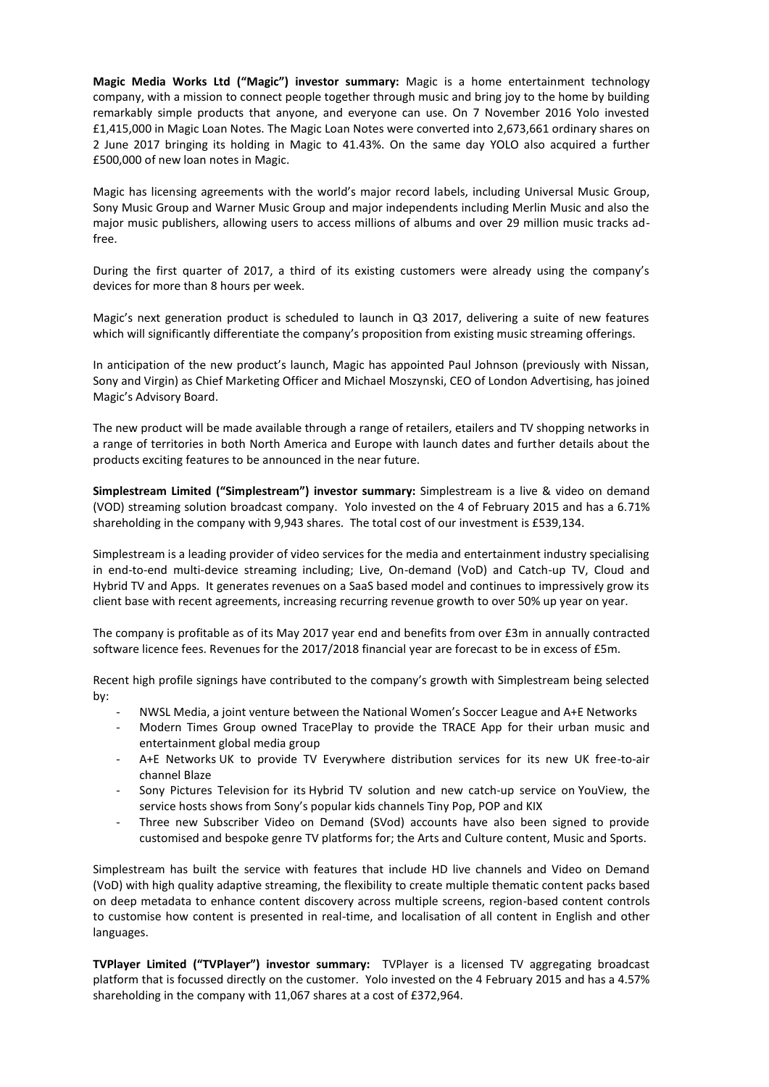**Magic Media Works Ltd ("Magic") investor summary:** Magic is a home entertainment technology company, with a mission to connect people together through music and bring joy to the home by building remarkably simple products that anyone, and everyone can use. On 7 November 2016 Yolo invested £1,415,000 in Magic Loan Notes. The Magic Loan Notes were converted into 2,673,661 ordinary shares on 2 June 2017 bringing its holding in Magic to 41.43%. On the same day YOLO also acquired a further £500,000 of new loan notes in Magic.

Magic has licensing agreements with the world's major record labels, including Universal Music Group, Sony Music Group and Warner Music Group and major independents including Merlin Music and also the major music publishers, allowing users to access millions of albums and over 29 million music tracks adfree.

During the first quarter of 2017, a third of its existing customers were already using the company's devices for more than 8 hours per week.

Magic's next generation product is scheduled to launch in Q3 2017, delivering a suite of new features which will significantly differentiate the company's proposition from existing music streaming offerings.

In anticipation of the new product's launch, Magic has appointed Paul Johnson (previously with Nissan, Sony and Virgin) as Chief Marketing Officer and Michael Moszynski, CEO of London Advertising, has joined Magic's Advisory Board.

The new product will be made available through a range of retailers, etailers and TV shopping networks in a range of territories in both North America and Europe with launch dates and further details about the products exciting features to be announced in the near future.

**Simplestream Limited ("Simplestream") investor summary:** Simplestream is a live & video on demand (VOD) streaming solution broadcast company. Yolo invested on the 4 of February 2015 and has a 6.71% shareholding in the company with 9,943 shares. The total cost of our investment is £539,134.

Simplestream is a leading provider of video services for the media and entertainment industry specialising in end-to-end multi-device streaming including; Live, On-demand (VoD) and Catch-up TV, Cloud and Hybrid TV and Apps. It generates revenues on a SaaS based model and continues to impressively grow its client base with recent agreements, increasing recurring revenue growth to over 50% up year on year.

The company is profitable as of its May 2017 year end and benefits from over £3m in annually contracted software licence fees. Revenues for the 2017/2018 financial year are forecast to be in excess of £5m.

Recent high profile signings have contributed to the company's growth with Simplestream being selected by:

- NWSL Media, a joint venture between the National Women's Soccer League and A+E Networks
- Modern Times Group owned TracePlay to provide the TRACE App for their urban music and entertainment global media group
- A+E Networks UK to provide TV Everywhere distribution services for its new UK free-to-air channel Blaze
- Sony Pictures Television for its Hybrid TV solution and new catch-up service on YouView, the service hosts shows from Sony's popular kids channels Tiny Pop, POP and KIX
- Three new Subscriber Video on Demand (SVod) accounts have also been signed to provide customised and bespoke genre TV platforms for; the Arts and Culture content, Music and Sports.

Simplestream has built the service with features that include HD live channels and Video on Demand (VoD) with high quality adaptive streaming, the flexibility to create multiple thematic content packs based on deep metadata to enhance content discovery across multiple screens, region-based content controls to customise how content is presented in real-time, and localisation of all content in English and other languages.

**TVPlayer Limited ("TVPlayer") investor summary:** TVPlayer is a licensed TV aggregating broadcast platform that is focussed directly on the customer. Yolo invested on the 4 February 2015 and has a 4.57% shareholding in the company with 11,067 shares at a cost of £372,964.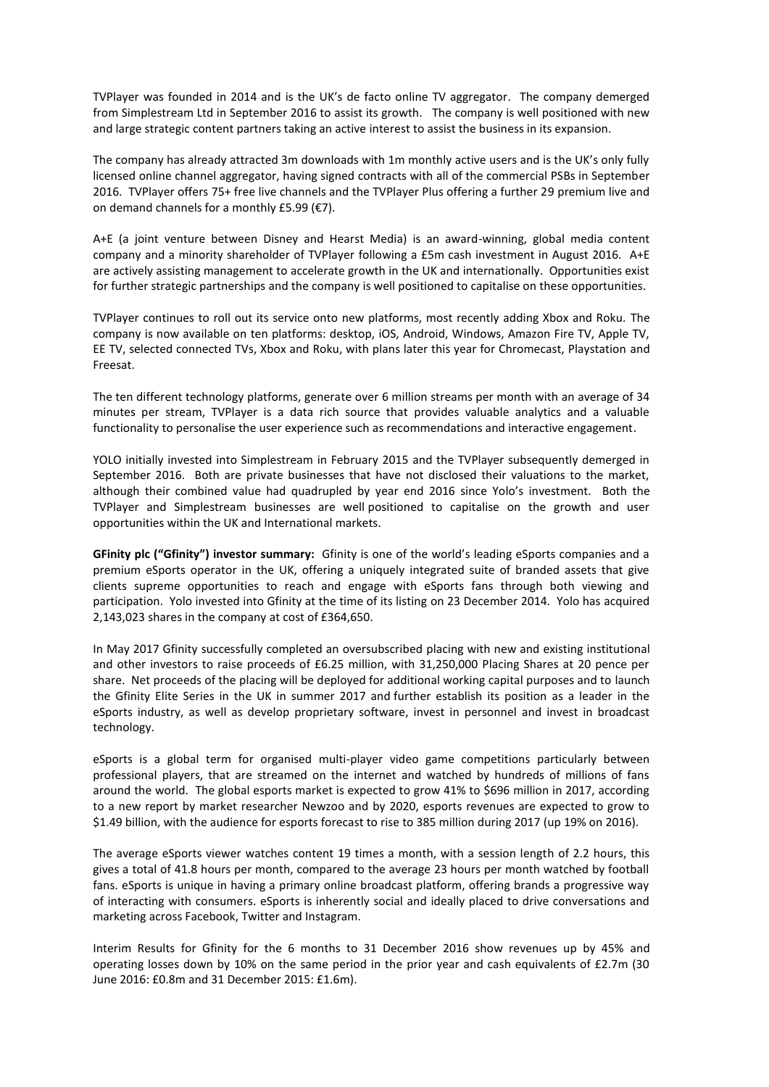TVPlayer was founded in 2014 and is the UK's de facto online TV aggregator. The company demerged from Simplestream Ltd in September 2016 to assist its growth. The company is well positioned with new and large strategic content partners taking an active interest to assist the business in its expansion.

The company has already attracted 3m downloads with 1m monthly active users and is the UK's only fully licensed online channel aggregator, having signed contracts with all of the commercial PSBs in September 2016. TVPlayer offers 75+ free live channels and the TVPlayer Plus offering a further 29 premium live and on demand channels for a monthly £5.99 (€7).

A+E (a joint venture between Disney and Hearst Media) is an award-winning, global media content company and a minority shareholder of TVPlayer following a £5m cash investment in August 2016. A+E are actively assisting management to accelerate growth in the UK and internationally. Opportunities exist for further strategic partnerships and the company is well positioned to capitalise on these opportunities.

TVPlayer continues to roll out its service onto new platforms, most recently adding Xbox and Roku. The company is now available on ten platforms: desktop, iOS, Android, Windows, Amazon Fire TV, Apple TV, EE TV, selected connected TVs, Xbox and Roku, with plans later this year for Chromecast, Playstation and Freesat.

The ten different technology platforms, generate over 6 million streams per month with an average of 34 minutes per stream, TVPlayer is a data rich source that provides valuable analytics and a valuable functionality to personalise the user experience such as recommendations and interactive engagement.

YOLO initially invested into Simplestream in February 2015 and the TVPlayer subsequently demerged in September 2016. Both are private businesses that have not disclosed their valuations to the market, although their combined value had quadrupled by year end 2016 since Yolo's investment. Both the TVPlayer and Simplestream businesses are well positioned to capitalise on the growth and user opportunities within the UK and International markets.

**GFinity plc ("Gfinity") investor summary:** Gfinity is one of the world's leading eSports companies and a premium eSports operator in the UK, offering a uniquely integrated suite of branded assets that give clients supreme opportunities to reach and engage with eSports fans through both viewing and participation. Yolo invested into Gfinity at the time of its listing on 23 December 2014. Yolo has acquired 2,143,023 shares in the company at cost of £364,650.

In May 2017 Gfinity successfully completed an oversubscribed placing with new and existing institutional and other investors to raise proceeds of £6.25 million, with 31,250,000 Placing Shares at 20 pence per share. Net proceeds of the placing will be deployed for additional working capital purposes and to launch the Gfinity Elite Series in the UK in summer 2017 and further establish its position as a leader in the eSports industry, as well as develop proprietary software, invest in personnel and invest in broadcast technology.

eSports is a global term for organised multi-player video game competitions particularly between professional players, that are streamed on the internet and watched by hundreds of millions of fans around the world. The global esports market is expected to grow 41% to \$696 million in 2017, according to a new report by market researcher Newzoo and by 2020, esports revenues are expected to grow to \$1.49 billion, with the audience for esports forecast to rise to 385 million during 2017 (up 19% on 2016).

The average eSports viewer watches content 19 times a month, with a session length of 2.2 hours, this gives a total of 41.8 hours per month, compared to the average 23 hours per month watched by football fans. eSports is unique in having a primary online broadcast platform, offering brands a progressive way of interacting with consumers. eSports is inherently social and ideally placed to drive conversations and marketing across Facebook, Twitter and Instagram.

Interim Results for Gfinity for the 6 months to 31 December 2016 show revenues up by 45% and operating losses down by 10% on the same period in the prior year and cash equivalents of £2.7m (30 June 2016: £0.8m and 31 December 2015: £1.6m).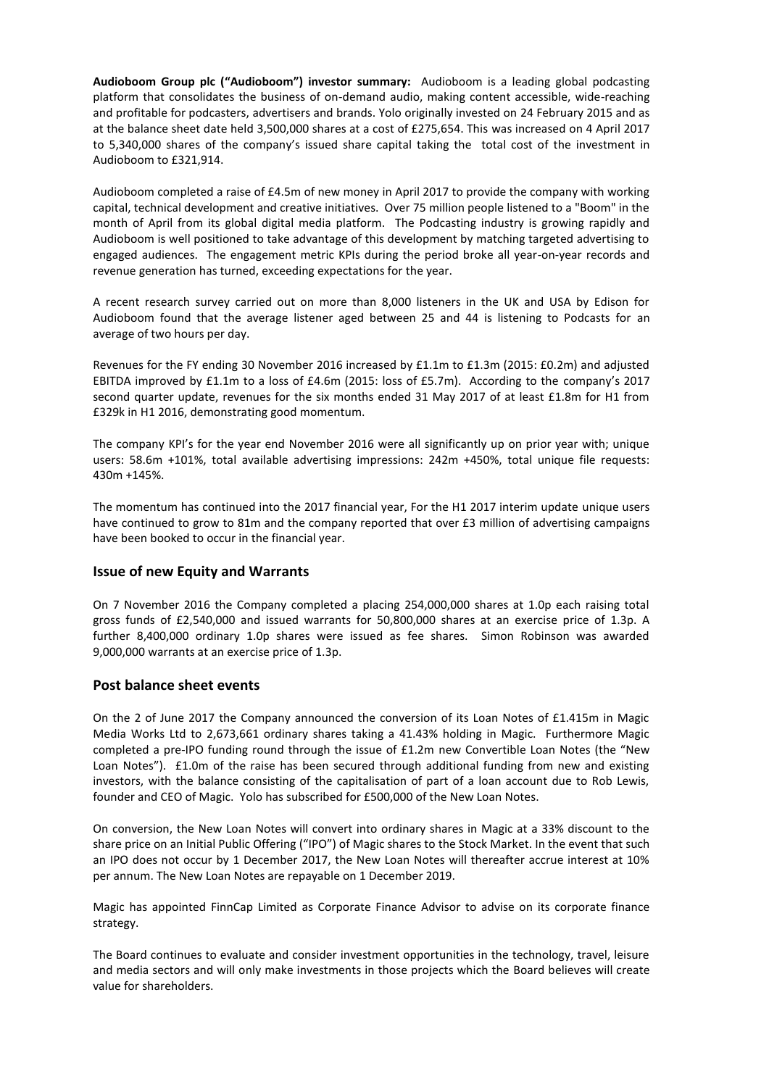**Audioboom Group plc ("Audioboom") investor summary:** Audioboom is a leading global podcasting platform that consolidates the business of on-demand audio, making content accessible, wide-reaching and profitable for podcasters, advertisers and brands. Yolo originally invested on 24 February 2015 and as at the balance sheet date held 3,500,000 shares at a cost of £275,654. This was increased on 4 April 2017 to 5,340,000 shares of the company's issued share capital taking the total cost of the investment in Audioboom to £321,914.

Audioboom completed a raise of £4.5m of new money in April 2017 to provide the company with working capital, technical development and creative initiatives. Over 75 million people listened to a "Boom" in the month of April from its global digital media platform. The Podcasting industry is growing rapidly and Audioboom is well positioned to take advantage of this development by matching targeted advertising to engaged audiences. The engagement metric KPIs during the period broke all year-on-year records and revenue generation has turned, exceeding expectations for the year.

A recent research survey carried out on more than 8,000 listeners in the UK and USA by Edison for Audioboom found that the average listener aged between 25 and 44 is listening to Podcasts for an average of two hours per day.

Revenues for the FY ending 30 November 2016 increased by £1.1m to £1.3m (2015: £0.2m) and adjusted EBITDA improved by £1.1m to a loss of £4.6m (2015: loss of £5.7m). According to the company's 2017 second quarter update, revenues for the six months ended 31 May 2017 of at least £1.8m for H1 from £329k in H1 2016, demonstrating good momentum.

The company KPI's for the year end November 2016 were all significantly up on prior year with; unique users: 58.6m +101%, total available advertising impressions: 242m +450%, total unique file requests: 430m +145%.

The momentum has continued into the 2017 financial year, For the H1 2017 interim update unique users have continued to grow to 81m and the company reported that over £3 million of advertising campaigns have been booked to occur in the financial year.

### **Issue of new Equity and Warrants**

On 7 November 2016 the Company completed a placing 254,000,000 shares at 1.0p each raising total gross funds of £2,540,000 and issued warrants for 50,800,000 shares at an exercise price of 1.3p. A further 8,400,000 ordinary 1.0p shares were issued as fee shares. Simon Robinson was awarded 9,000,000 warrants at an exercise price of 1.3p.

### **Post balance sheet events**

On the 2 of June 2017 the Company announced the conversion of its Loan Notes of £1.415m in Magic Media Works Ltd to 2,673,661 ordinary shares taking a 41.43% holding in Magic. Furthermore Magic completed a pre-IPO funding round through the issue of £1.2m new Convertible Loan Notes (the "New Loan Notes"). £1.0m of the raise has been secured through additional funding from new and existing investors, with the balance consisting of the capitalisation of part of a loan account due to Rob Lewis, founder and CEO of Magic. Yolo has subscribed for £500,000 of the New Loan Notes.

On conversion, the New Loan Notes will convert into ordinary shares in Magic at a 33% discount to the share price on an Initial Public Offering ("IPO") of Magic shares to the Stock Market. In the event that such an IPO does not occur by 1 December 2017, the New Loan Notes will thereafter accrue interest at 10% per annum. The New Loan Notes are repayable on 1 December 2019.

Magic has appointed FinnCap Limited as Corporate Finance Advisor to advise on its corporate finance strategy.

The Board continues to evaluate and consider investment opportunities in the technology, travel, leisure and media sectors and will only make investments in those projects which the Board believes will create value for shareholders.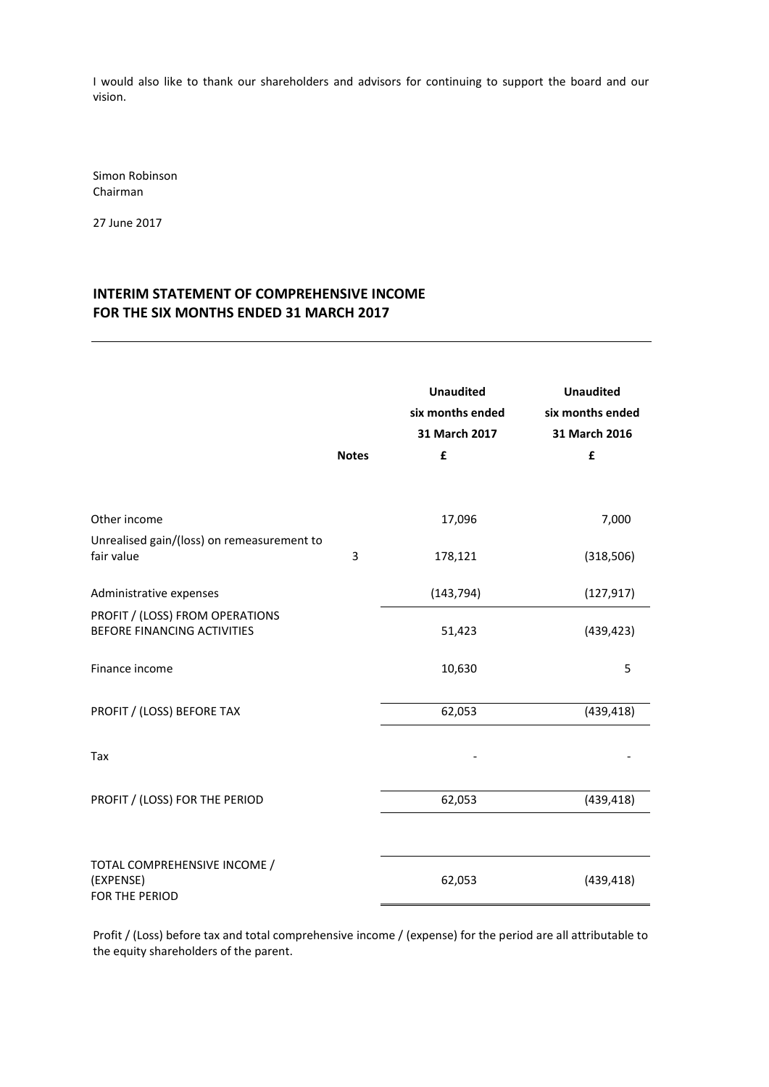I would also like to thank our shareholders and advisors for continuing to support the board and our vision.

Simon Robinson Chairman

27 June 2017

# **INTERIM STATEMENT OF COMPREHENSIVE INCOME FOR THE SIX MONTHS ENDED 31 MARCH 2017**

|                                                                | <b>Notes</b> | <b>Unaudited</b><br>six months ended<br>31 March 2017<br>£ | <b>Unaudited</b><br>six months ended<br>31 March 2016<br>£ |
|----------------------------------------------------------------|--------------|------------------------------------------------------------|------------------------------------------------------------|
| Other income                                                   |              | 17,096                                                     | 7,000                                                      |
| Unrealised gain/(loss) on remeasurement to<br>fair value       | 3            | 178,121                                                    | (318, 506)                                                 |
| Administrative expenses                                        |              | (143, 794)                                                 | (127, 917)                                                 |
| PROFIT / (LOSS) FROM OPERATIONS<br>BEFORE FINANCING ACTIVITIES |              | 51,423                                                     | (439, 423)                                                 |
| Finance income                                                 |              | 10,630                                                     | 5                                                          |
| PROFIT / (LOSS) BEFORE TAX                                     |              | 62,053                                                     | (439, 418)                                                 |
| Tax                                                            |              |                                                            |                                                            |
| PROFIT / (LOSS) FOR THE PERIOD                                 |              | 62,053                                                     | (439, 418)                                                 |
| TOTAL COMPREHENSIVE INCOME /<br>(EXPENSE)<br>FOR THE PERIOD    |              | 62,053                                                     | (439, 418)                                                 |

Profit / (Loss) before tax and total comprehensive income / (expense) for the period are all attributable to the equity shareholders of the parent.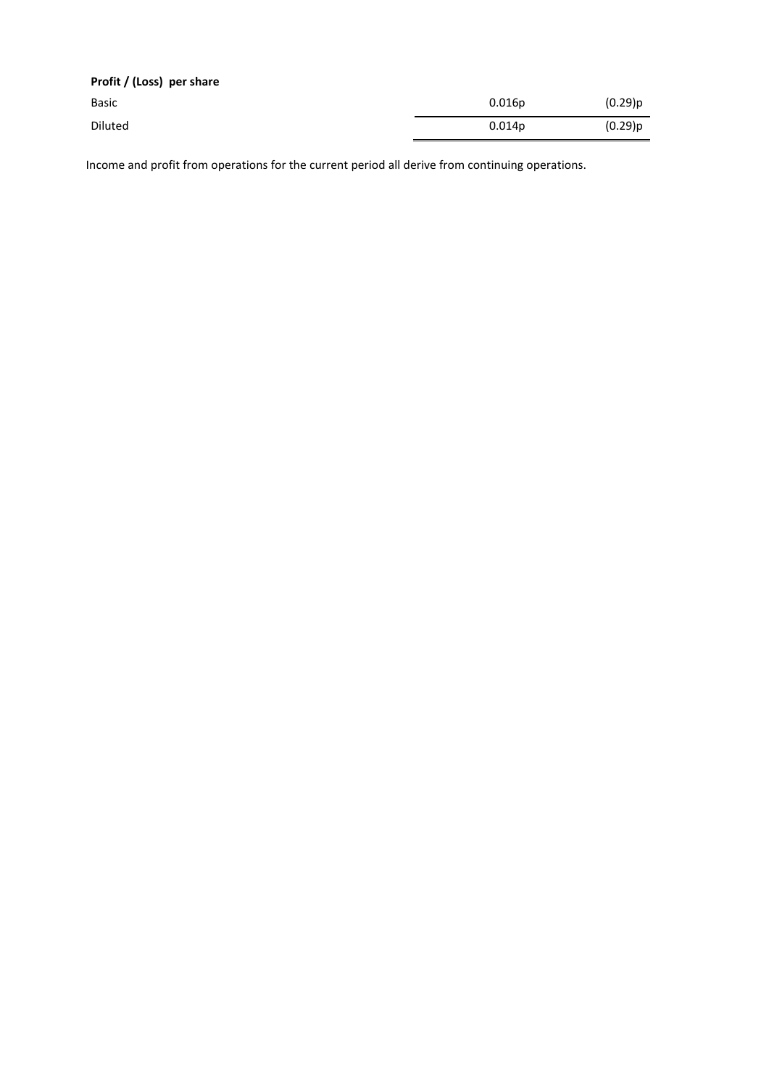| Profit / (Loss) per share |                    |            |
|---------------------------|--------------------|------------|
| Basic                     | 0.016p             | $(0.29)$ p |
| Diluted                   | 0.014 <sub>p</sub> | (0.29)p    |

Income and profit from operations for the current period all derive from continuing operations.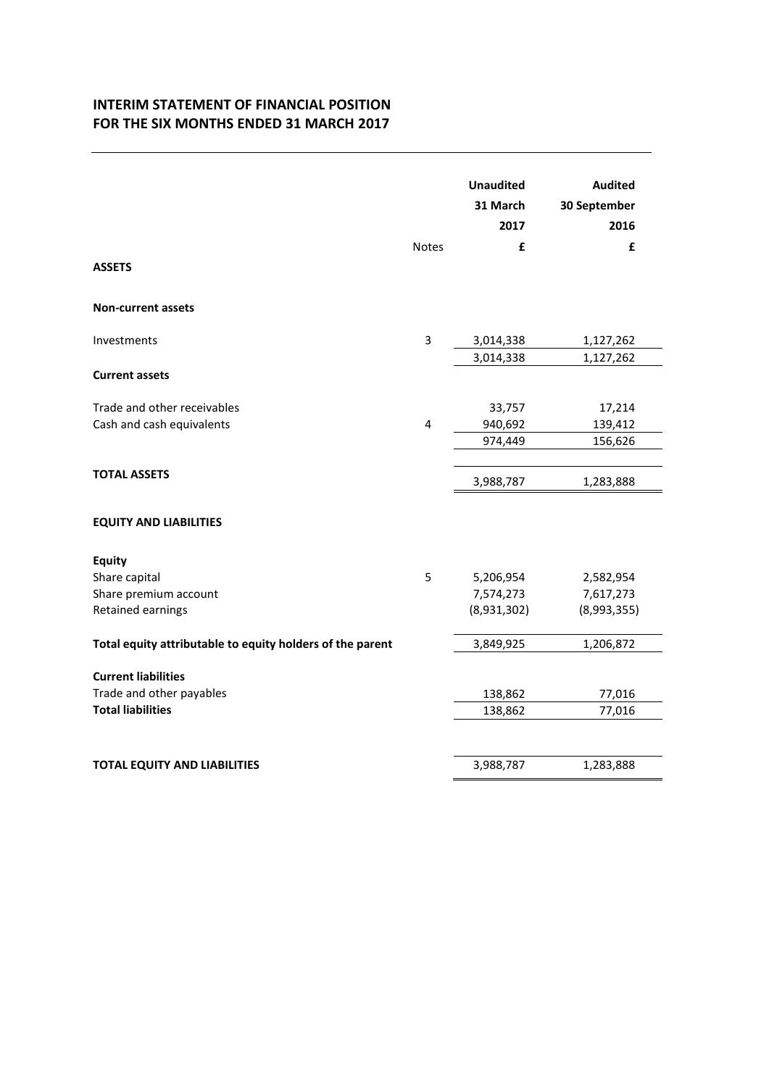# **INTERIM STATEMENT OF FINANCIAL POSITION FOR THE SIX MONTHS ENDED 31 MARCH 2017**

| <b>Non-current assets</b><br>3<br>Investments<br>3,014,338                                                                 | 1,127,262<br>1,127,262                |
|----------------------------------------------------------------------------------------------------------------------------|---------------------------------------|
|                                                                                                                            |                                       |
|                                                                                                                            |                                       |
| 3,014,338<br><b>Current assets</b>                                                                                         |                                       |
| Trade and other receivables<br>33,757<br>Cash and cash equivalents<br>4<br>940,692<br>974,449                              | 17,214<br>139,412<br>156,626          |
| <b>TOTAL ASSETS</b><br>3,988,787                                                                                           | 1,283,888                             |
| <b>EQUITY AND LIABILITIES</b>                                                                                              |                                       |
| <b>Equity</b><br>Share capital<br>5<br>5,206,954<br>Share premium account<br>7,574,273<br>Retained earnings<br>(8,931,302) | 2,582,954<br>7,617,273<br>(8,993,355) |
| Total equity attributable to equity holders of the parent<br>3,849,925                                                     | 1,206,872                             |
| <b>Current liabilities</b><br>Trade and other payables<br>138,862<br><b>Total liabilities</b><br>138,862                   | 77,016<br>77,016                      |
| <b>TOTAL EQUITY AND LIABILITIES</b><br>3,988,787                                                                           | 1,283,888                             |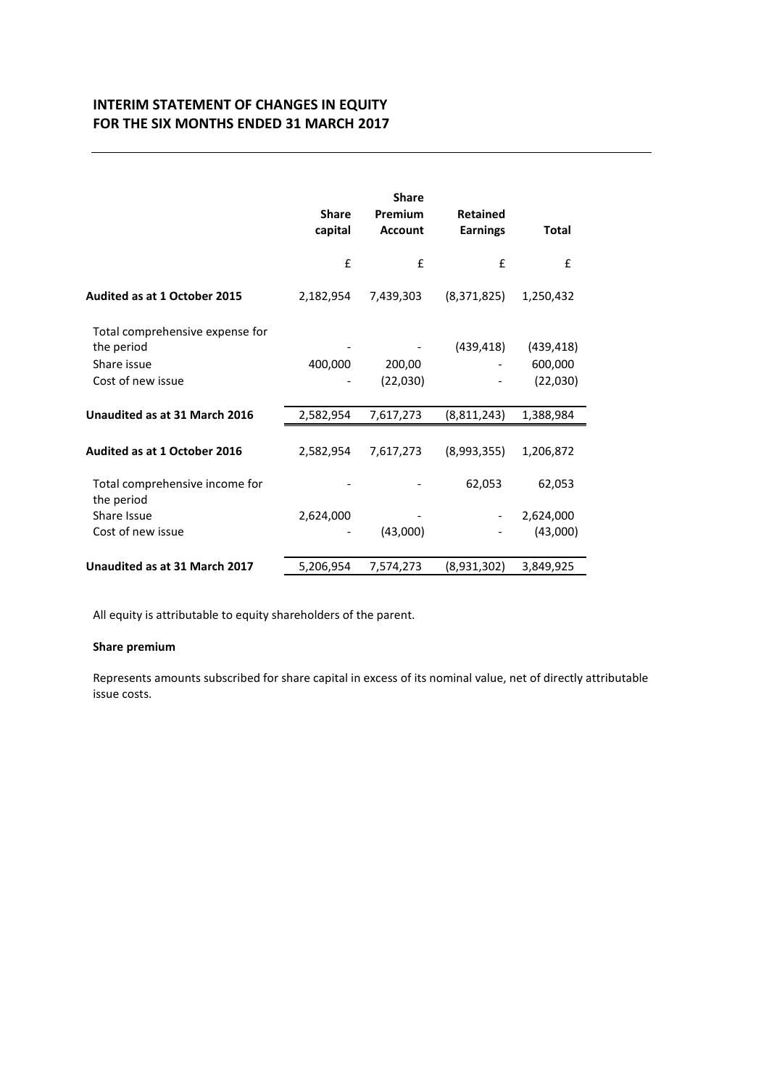# **INTERIM STATEMENT OF CHANGES IN EQUITY FOR THE SIX MONTHS ENDED 31 MARCH 2017**

|                                                                                   | <b>Share</b><br>capital | <b>Share</b><br>Premium<br><b>Account</b> | <b>Retained</b><br><b>Earnings</b> | Total                             |
|-----------------------------------------------------------------------------------|-------------------------|-------------------------------------------|------------------------------------|-----------------------------------|
|                                                                                   | £                       | £                                         | £                                  | £                                 |
| <b>Audited as at 1 October 2015</b>                                               | 2,182,954               | 7,439,303                                 | (8,371,825)                        | 1,250,432                         |
| Total comprehensive expense for<br>the period<br>Share issue<br>Cost of new issue | 400,000                 | 200,00<br>(22,030)                        | (439, 418)                         | (439, 418)<br>600,000<br>(22,030) |
| Unaudited as at 31 March 2016                                                     | 2,582,954               | 7,617,273                                 | (8, 811, 243)                      | 1,388,984                         |
| Audited as at 1 October 2016                                                      | 2,582,954               | 7,617,273                                 | (8,993,355)                        | 1,206,872                         |
| Total comprehensive income for<br>the period                                      |                         |                                           | 62,053                             | 62,053                            |
| Share Issue                                                                       | 2,624,000               |                                           |                                    | 2,624,000                         |
| Cost of new issue                                                                 |                         | (43,000)                                  |                                    | (43,000)                          |
| Unaudited as at 31 March 2017                                                     | 5,206,954               | 7,574,273                                 | (8,931,302)                        | 3,849,925                         |

All equity is attributable to equity shareholders of the parent.

# **Share premium**

Represents amounts subscribed for share capital in excess of its nominal value, net of directly attributable issue costs.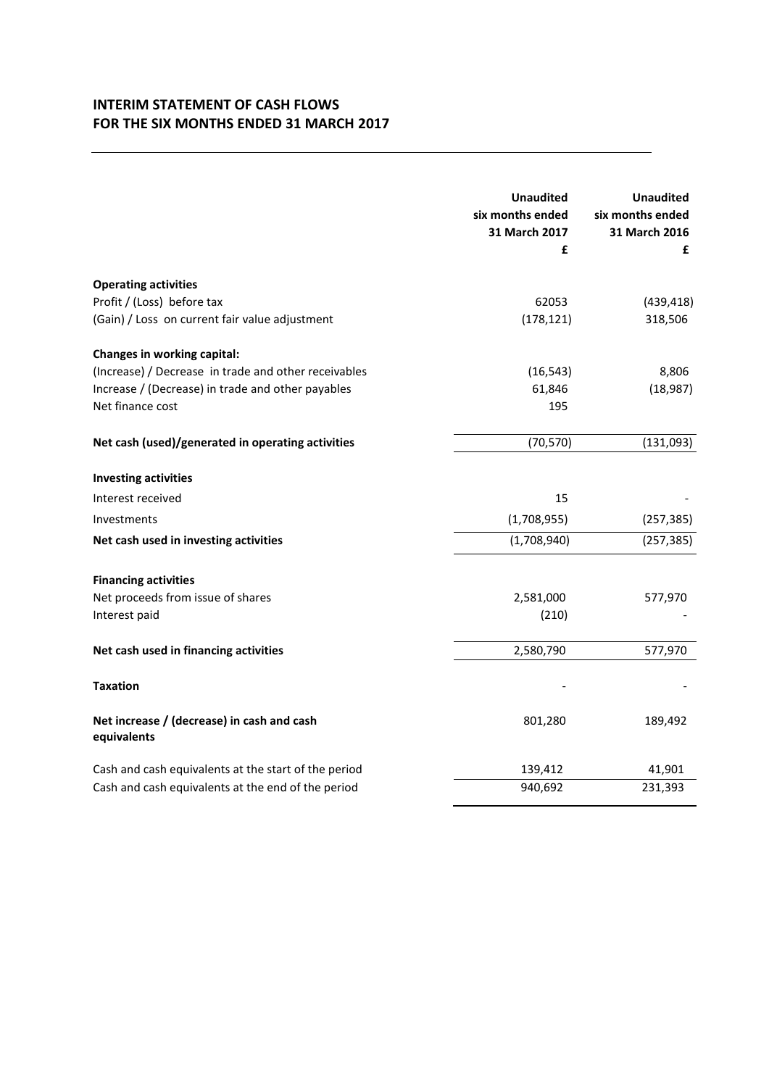# **INTERIM STATEMENT OF CASH FLOWS FOR THE SIX MONTHS ENDED 31 MARCH 2017**

|                                                           | <b>Unaudited</b><br>six months ended<br>31 March 2017<br>£ | <b>Unaudited</b><br>six months ended<br>31 March 2016<br>£ |
|-----------------------------------------------------------|------------------------------------------------------------|------------------------------------------------------------|
| <b>Operating activities</b>                               |                                                            |                                                            |
| Profit / (Loss) before tax                                | 62053                                                      | (439, 418)                                                 |
| (Gain) / Loss on current fair value adjustment            | (178, 121)                                                 | 318,506                                                    |
| Changes in working capital:                               |                                                            |                                                            |
| (Increase) / Decrease in trade and other receivables      | (16, 543)                                                  | 8,806                                                      |
| Increase / (Decrease) in trade and other payables         | 61,846                                                     | (18, 987)                                                  |
| Net finance cost                                          | 195                                                        |                                                            |
| Net cash (used)/generated in operating activities         | (70, 570)                                                  | (131,093)                                                  |
| <b>Investing activities</b>                               |                                                            |                                                            |
| Interest received                                         | 15                                                         |                                                            |
| Investments                                               | (1,708,955)                                                | (257, 385)                                                 |
| Net cash used in investing activities                     | (1,708,940)                                                | (257, 385)                                                 |
| <b>Financing activities</b>                               |                                                            |                                                            |
| Net proceeds from issue of shares                         | 2,581,000                                                  | 577,970                                                    |
| Interest paid                                             | (210)                                                      |                                                            |
| Net cash used in financing activities                     | 2,580,790                                                  | 577,970                                                    |
| <b>Taxation</b>                                           |                                                            |                                                            |
| Net increase / (decrease) in cash and cash<br>equivalents | 801,280                                                    | 189,492                                                    |
| Cash and cash equivalents at the start of the period      | 139,412                                                    | 41,901                                                     |
| Cash and cash equivalents at the end of the period        | 940,692                                                    | 231,393                                                    |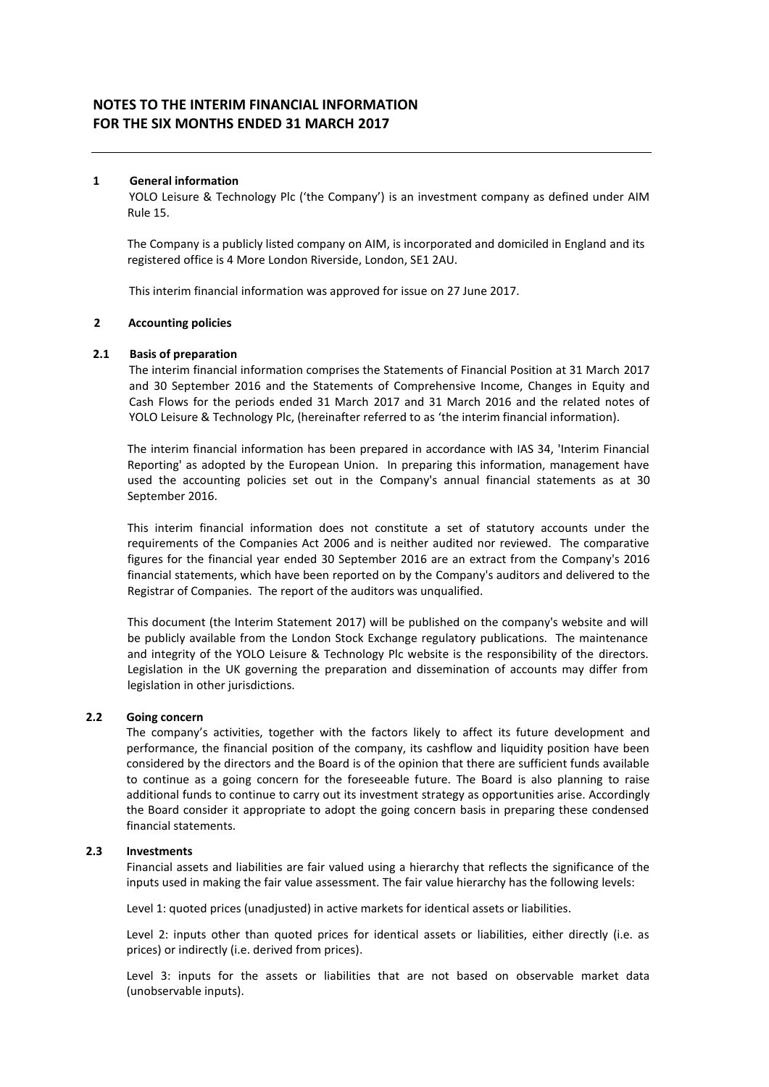### **1 General information**

YOLO Leisure & Technology Plc ('the Company') is an investment company as defined under AIM Rule 15.

The Company is a publicly listed company on AIM, is incorporated and domiciled in England and its registered office is 4 More London Riverside, London, SE1 2AU.

This interim financial information was approved for issue on 27 June 2017.

### **2 Accounting policies**

### **2.1 Basis of preparation**

The interim financial information comprises the Statements of Financial Position at 31 March 2017 and 30 September 2016 and the Statements of Comprehensive Income, Changes in Equity and Cash Flows for the periods ended 31 March 2017 and 31 March 2016 and the related notes of YOLO Leisure & Technology Plc, (hereinafter referred to as 'the interim financial information).

The interim financial information has been prepared in accordance with IAS 34, 'Interim Financial Reporting' as adopted by the European Union. In preparing this information, management have used the accounting policies set out in the Company's annual financial statements as at 30 September 2016.

This interim financial information does not constitute a set of statutory accounts under the requirements of the Companies Act 2006 and is neither audited nor reviewed. The comparative figures for the financial year ended 30 September 2016 are an extract from the Company's 2016 financial statements, which have been reported on by the Company's auditors and delivered to the Registrar of Companies. The report of the auditors was unqualified.

This document (the Interim Statement 2017) will be published on the company's website and will be publicly available from the London Stock Exchange regulatory publications. The maintenance and integrity of the YOLO Leisure & Technology Plc website is the responsibility of the directors. Legislation in the UK governing the preparation and dissemination of accounts may differ from legislation in other jurisdictions.

#### **2.2 Going concern**

The company's activities, together with the factors likely to affect its future development and performance, the financial position of the company, its cashflow and liquidity position have been considered by the directors and the Board is of the opinion that there are sufficient funds available to continue as a going concern for the foreseeable future. The Board is also planning to raise additional funds to continue to carry out its investment strategy as opportunities arise. Accordingly the Board consider it appropriate to adopt the going concern basis in preparing these condensed financial statements.

#### **2.3 Investments**

Financial assets and liabilities are fair valued using a hierarchy that reflects the significance of the inputs used in making the fair value assessment. The fair value hierarchy has the following levels:

Level 1: quoted prices (unadjusted) in active markets for identical assets or liabilities.

Level 2: inputs other than quoted prices for identical assets or liabilities, either directly (i.e. as prices) or indirectly (i.e. derived from prices).

Level 3: inputs for the assets or liabilities that are not based on observable market data (unobservable inputs).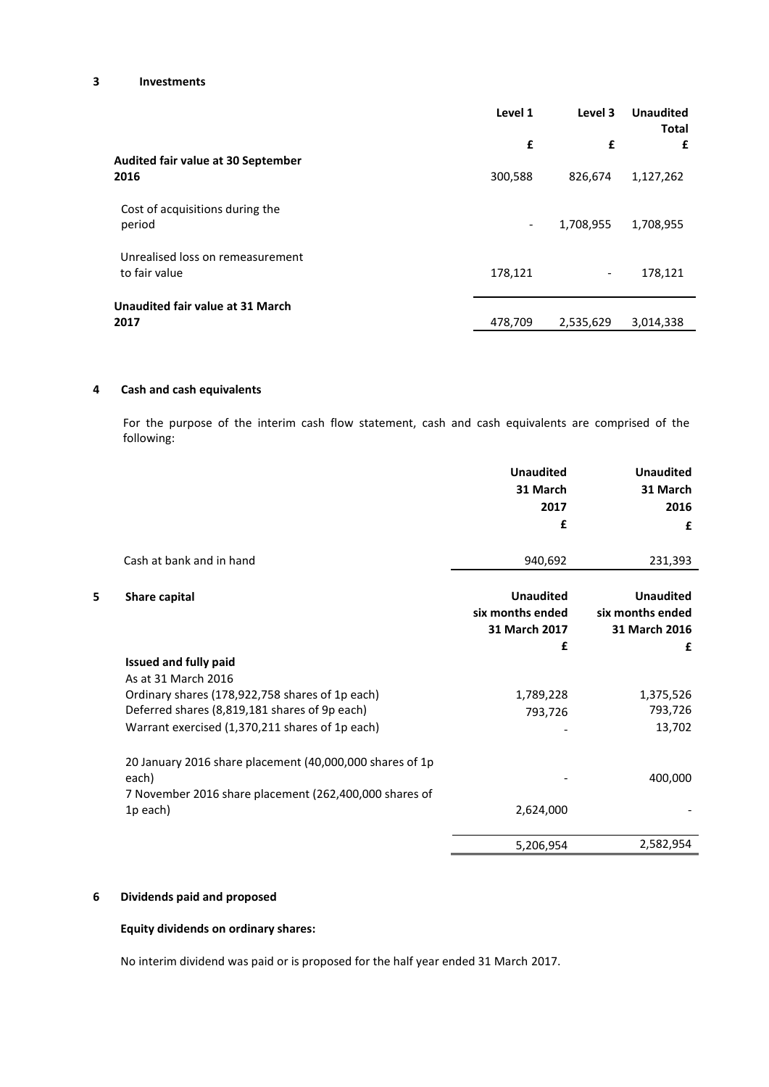### **3 Investments**

|                                                   | Level 1                  | Level 3                  | <b>Unaudited</b><br><b>Total</b> |
|---------------------------------------------------|--------------------------|--------------------------|----------------------------------|
|                                                   | £                        | £                        | £                                |
| <b>Audited fair value at 30 September</b><br>2016 | 300,588                  | 826,674                  | 1,127,262                        |
| Cost of acquisitions during the<br>period         | $\overline{\phantom{a}}$ | 1,708,955                | 1,708,955                        |
| Unrealised loss on remeasurement<br>to fair value | 178,121                  | $\overline{\phantom{0}}$ | 178,121                          |
| Unaudited fair value at 31 March<br>2017          | 478,709                  | 2,535,629                | 3,014,338                        |

### **4 Cash and cash equivalents**

For the purpose of the interim cash flow statement, cash and cash equivalents are comprised of the following:

|   |                                                          | <b>Unaudited</b> | <b>Unaudited</b> |
|---|----------------------------------------------------------|------------------|------------------|
|   |                                                          | 31 March         | 31 March         |
|   |                                                          | 2017             | 2016             |
|   |                                                          | £                | £                |
|   | Cash at bank and in hand                                 | 940,692          | 231,393          |
| 5 | Share capital                                            | <b>Unaudited</b> | <b>Unaudited</b> |
|   |                                                          | six months ended | six months ended |
|   |                                                          | 31 March 2017    | 31 March 2016    |
|   |                                                          | £                | £                |
|   | <b>Issued and fully paid</b>                             |                  |                  |
|   | As at 31 March 2016                                      |                  |                  |
|   | Ordinary shares (178,922,758 shares of 1p each)          | 1,789,228        | 1,375,526        |
|   | Deferred shares (8,819,181 shares of 9p each)            | 793,726          | 793,726          |
|   | Warrant exercised (1,370,211 shares of 1p each)          |                  | 13,702           |
|   | 20 January 2016 share placement (40,000,000 shares of 1p |                  |                  |
|   | each)                                                    |                  | 400,000          |
|   | 7 November 2016 share placement (262,400,000 shares of   |                  |                  |
|   | 1p each)                                                 | 2,624,000        |                  |
|   |                                                          | 5,206,954        | 2,582,954        |

# **6 Dividends paid and proposed**

### **Equity dividends on ordinary shares:**

No interim dividend was paid or is proposed for the half year ended 31 March 2017.